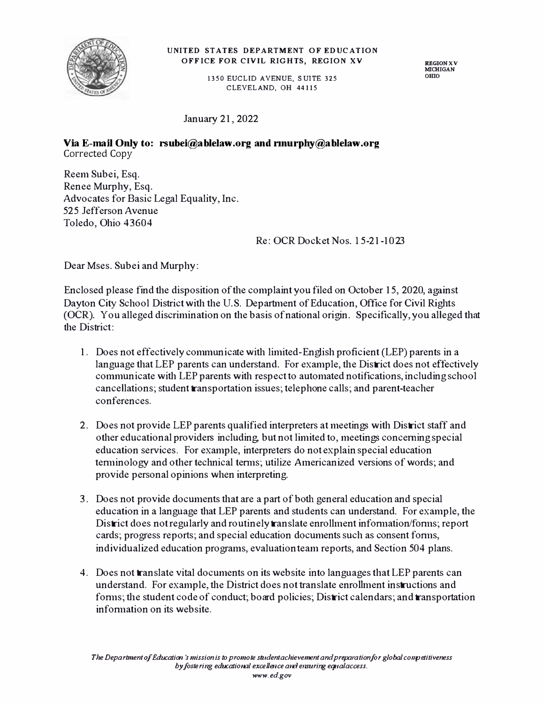

## **UNITED STATES DEPARTMENT OF EDUCATION OFFICE FOR CIVIL RIGHTS, REGION XV**

**1350 EUCLID AVENUE, SUITE 325 CLEVELAND, OH 44115** 

**REGION XV MICHIGAN**  omo

January 21, 2022

**Via E-mail Only to: rsubei@ablelaw.org and nnurphy@ablelaw.org** Corrected Copy

Reem Subei, Esq. Renee Murphy, Esq. Advocates for Basic Legal Equality, Inc. 525 Jefferson Avenue Toledo, Ohio 43604

Re: OCR Docket Nos. 15-21-1023

Dear Mses. Subei and Murphy:

Enclosed please find the disposition of the complaint you filed on October 15, 2020, against Dayton City School District with the U.S. Department of Education, Office for Civil Rights (OCR). You alleged discrimination on the basis of national origin. Specifically, you alleged that the District:

- 1. Does not effectively communicate with limited-English proficient (LEP) parents in a language that LEP parents can understand. For example, the District does not effectively communicate with LEP parents with respect to automated notifications, including school cancellations; student transportation issues; telephone calls; and parent-teacher conferences.
- 2. Does not provide LEP parents qualified interpreters at meetings with District staff and other educational providers including, but not limited to, meeting5 concerning special education services. For example, interpreters do not explain special education tenninology and other technical tenns; utilize Americanized versions of words; and provide personal opinions when interpreting.
- 3. Does not provide documents that are a part of both general education and special education in a language that LEP parents and students can understand. For example, the District does not regularly and routinely translate enrolhnent infonnation/fonns; report cards; progress reports; and special education documents such as consent fonns, individualized education programs, evaluation team reports, and Section 504 plans.
- 4. Does not translate vital documents on its website into languages that LEP parents can understand. For example, the District does not translate enrolhnent instructions and forms; the student code of conduct; board policies; District calendars; and transportation infonnation on its website.